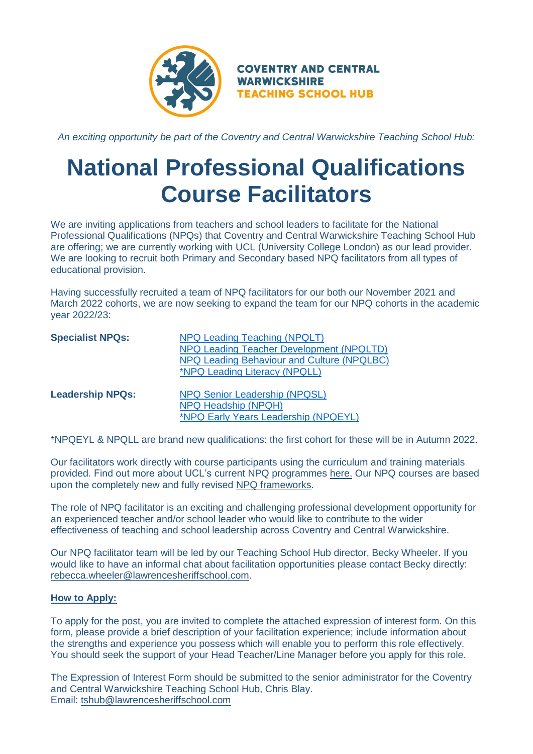

*An exciting opportunity be part of the Coventry and Central Warwickshire Teaching School Hub:*

## **National Professional Qualifications Course Facilitators**

We are inviting applications from teachers and school leaders to facilitate for the National Professional Qualifications (NPQs) that Coventry and Central Warwickshire Teaching School Hub are offering; we are currently working with UCL (University College London) as our lead provider. We are looking to recruit both Primary and Secondary based NPQ facilitators from all types of educational provision.

Having successfully recruited a team of NPQ facilitators for our both our November 2021 and March 2022 cohorts, we are now seeking to expand the team for our NPQ cohorts in the academic year 2022/23:

| <b>Specialist NPQs:</b> | NPQ Leading Teaching (NPQLT)                |  |
|-------------------------|---------------------------------------------|--|
|                         | NPQ Leading Teacher Development (NPQLTD)    |  |
|                         | NPQ Leading Behaviour and Culture (NPQLBC)  |  |
|                         | <i><b>*NPQ Leading Literacy (NPQLL)</b></i> |  |
| <b>Leadership NPQs:</b> | <b>NPQ Senior Leadership (NPQSL)</b>        |  |
|                         | NPQ Headship (NPQH)                         |  |
|                         | *NPQ Early Years Leadership (NPQEYL)        |  |

\*NPQEYL & NPQLL are brand new qualifications: the first cohort for these will be in Autumn 2022.

Our facilitators work directly with course participants using the curriculum and training materials provided. Find out more about UCL's current NPQ programmes [here.](https://www.ucl.ac.uk/ioe/departments-and-centres/centres/ucl-centre-educational-leadership/national-professional-qualifications) Our NPQ courses are based upon the completely new and fully revised [NPQ frameworks.](https://www.gov.uk/government/publications/national-professional-qualifications-frameworks-from-september-2021)

The role of NPQ facilitator is an exciting and challenging professional development opportunity for an experienced teacher and/or school leader who would like to contribute to the wider effectiveness of teaching and school leadership across Coventry and Central Warwickshire.

Our NPQ facilitator team will be led by our Teaching School Hub director, Becky Wheeler. If you would like to have an informal chat about facilitation opportunities please contact Becky directly: [rebecca.wheeler@lawrencesheriffschool.com.](rebecca.wheeler@lawrencesheriffschool.com)

## **How to Apply:**

To apply for the post, you are invited to complete the attached expression of interest form. On this form, please provide a brief description of your facilitation experience; include information about the strengths and experience you possess which will enable you to perform this role effectively. You should seek the support of your Head Teacher/Line Manager before you apply for this role.

The Expression of Interest Form should be submitted to the senior administrator for the Coventry and Central Warwickshire Teaching School Hub, Chris Blay. Email: [tshub@lawrencesheriffschool.com](mailto:tshub@lawrencesheriffschool.com)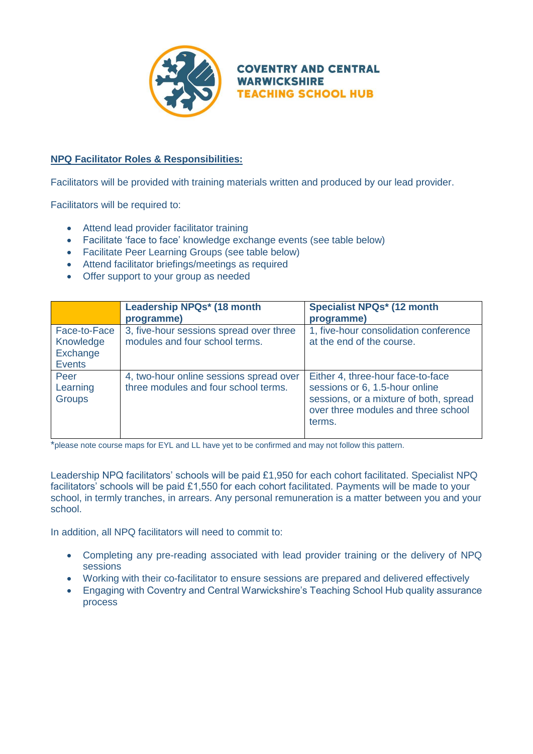

**COVENTRY AND CENTRAL WARWICKSHIRE TEACHING SCHOOL HUB** 

## **NPQ Facilitator Roles & Responsibilities:**

Facilitators will be provided with training materials written and produced by our lead provider.

Facilitators will be required to:

- Attend lead provider facilitator training
- Facilitate 'face to face' knowledge exchange events (see table below)
- Facilitate Peer Learning Groups (see table below)
- Attend facilitator briefings/meetings as required
- Offer support to your group as needed

|                                                        | Leadership NPQs* (18 month<br>programme)                                        | <b>Specialist NPQs* (12 month</b><br>programme)                                                                                                                |
|--------------------------------------------------------|---------------------------------------------------------------------------------|----------------------------------------------------------------------------------------------------------------------------------------------------------------|
| Face-to-Face<br>Knowledge<br>Exchange<br><b>Events</b> | 3, five-hour sessions spread over three<br>modules and four school terms.       | 1, five-hour consolidation conference<br>at the end of the course.                                                                                             |
| Peer<br>Learning<br><b>Groups</b>                      | 4, two-hour online sessions spread over<br>three modules and four school terms. | Either 4, three-hour face-to-face<br>sessions or 6, 1.5-hour online<br>sessions, or a mixture of both, spread<br>over three modules and three school<br>terms. |

\*please note course maps for EYL and LL have yet to be confirmed and may not follow this pattern.

Leadership NPQ facilitators' schools will be paid £1,950 for each cohort facilitated. Specialist NPQ facilitators' schools will be paid £1,550 for each cohort facilitated. Payments will be made to your school, in termly tranches, in arrears. Any personal remuneration is a matter between you and your school.

In addition, all NPQ facilitators will need to commit to:

- Completing any pre-reading associated with lead provider training or the delivery of NPQ sessions
- Working with their co-facilitator to ensure sessions are prepared and delivered effectively
- Engaging with Coventry and Central Warwickshire's Teaching School Hub quality assurance process